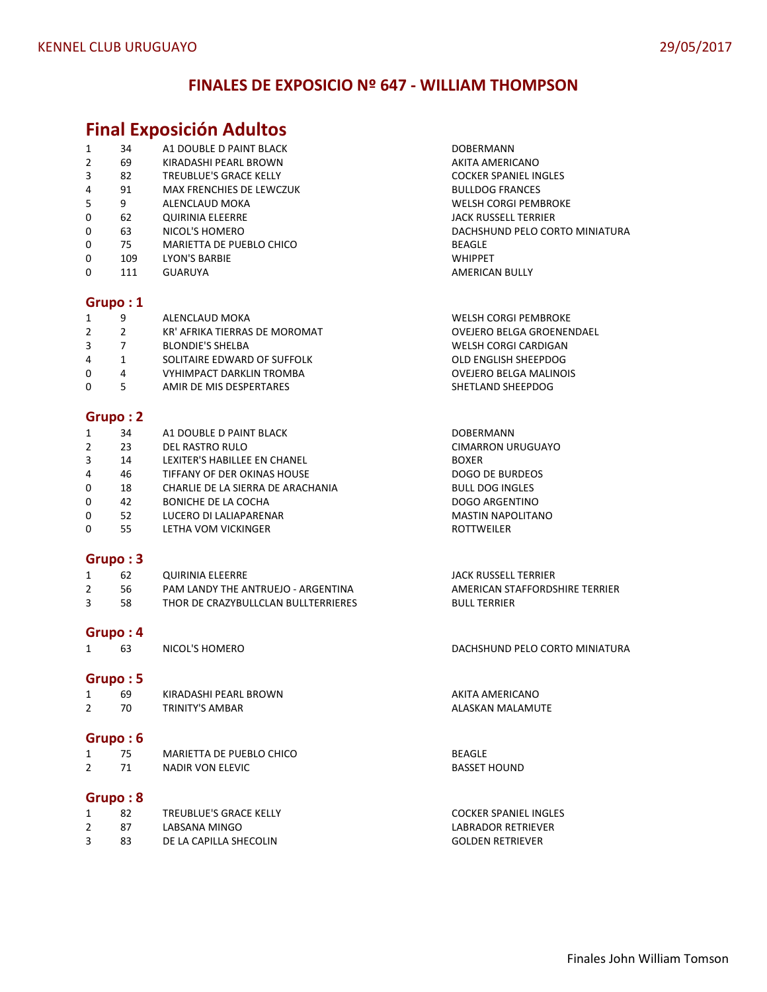# **FINALES DE EXPOSICIO Nº 647 - WILLIAM THOMPSON**

# **Final Exposición Adultos**

|   |     | <u>THUT ENDOSITION AUGUST</u>   |                                |
|---|-----|---------------------------------|--------------------------------|
| 1 | 34  | A1 DOUBLE D PAINT BLACK         | <b>DOBERMANN</b>               |
| 2 | 69  | KIRADASHI PEARL BROWN           | AKITA AMERICANO                |
| 3 | 82  | <b>TREUBLUE'S GRACE KELLY</b>   | <b>COCKER SPANIEL INGLES</b>   |
| 4 | 91  | <b>MAX FRENCHIES DE LEWCZUK</b> | <b>BULLDOG FRANCES</b>         |
| 5 | 9   | ALENCLAUD MOKA                  | <b>WELSH CORGI PEMBROKE</b>    |
| 0 | 62  | <b>QUIRINIA ELEERRE</b>         | <b>JACK RUSSELL TERRIER</b>    |
| 0 | 63  | NICOL'S HOMERO                  | DACHSHUND PELO CORTO MINIATURA |
| 0 | 75  | MARIETTA DE PUEBLO CHICO        | BEAGLE                         |
| 0 | 109 | <b>LYON'S BARBIE</b>            | <b>WHIPPET</b>                 |

0 111 GUARUYA **AMERICAN BULLY** 

#### **Grupo : 1**

| 1        | 9 | ALENCLAUD MOKA                  | <b>WELSH CORGI PEMBROKE</b> |
|----------|---|---------------------------------|-----------------------------|
| 2        |   | KR' AFRIKA TIERRAS DE MOROMAT   | OVEJERO BELGA GROENENDAEL   |
| 3        |   | <b>BLONDIE'S SHELBA</b>         | <b>WELSH CORGI CARDIGAN</b> |
| 4        |   | SOLITAIRE EDWARD OF SUFFOLK     | OLD ENGLISH SHEEPDOG        |
| $\Omega$ | 4 | <b>VYHIMPACT DARKLIN TROMBA</b> | OVEJERO BELGA MALINOIS      |
| 0        |   | AMIR DE MIS DESPERTARES         | SHETLAND SHEEPDOG           |
|          |   |                                 |                             |

# **Grupo : 2**

| 1              | 34 | A1 DOUBLE D PAINT BLACK           | <b>DOBERMANN</b>         |
|----------------|----|-----------------------------------|--------------------------|
| 2              | 23 | DEL RASTRO RULO                   | <b>CIMARRON URUGUAYO</b> |
| 3              | 14 | LEXITER'S HABILLEE EN CHANEL      | <b>BOXER</b>             |
| $\overline{4}$ | 46 | TIFFANY OF DER OKINAS HOUSE       | DOGO DE BURDEOS          |
| $\mathbf 0$    | 18 | CHARLIE DE LA SIERRA DE ARACHANIA | <b>BULL DOG INGLES</b>   |
| 0              | 42 | BONICHE DE LA COCHA               | DOGO ARGENTINO           |
| 0              | 52 | LUCERO DI LALIAPARENAR            | <b>MASTIN NAPOLITANO</b> |
| 0              | 55 | LETHA VOM VICKINGER               | <b>ROTTWEILER</b>        |

## **Grupo : 3**

| 62  | QUIRINIA ELEERRE                    | JACK RUSSELL TERRIER           |
|-----|-------------------------------------|--------------------------------|
| -56 | PAM LANDY THE ANTRUEJO - ARGENTINA  | AMERICAN STAFFORDSHIRE TERRIER |
| 58. | THOR DE CRAZYBULLCLAN BULLTERRIERES | <b>BULL TERRIER</b>            |

Grupo : 4<br>1 63 NICOL'S HOMERO

## **Grupo : 5**

| 69  | KIRADASHI PEARL BROWN | AKITA AMERICANO  |
|-----|-----------------------|------------------|
| 70. | TRINITY'S AMBAR       | ALASKAN MALAMUTE |
|     |                       |                  |

# **Grupo : 6**

|   | 75 | MARIETTA DE PUEBLO CHICO | <b>BEAGLE</b>       |
|---|----|--------------------------|---------------------|
| ∼ | 71 | NADIR VON ELEVIC         | <b>BASSET HOUND</b> |

# **Grupo : 8**

|    | TREUBLUE'S GRACE KELLY | <b>COCKER SPANIEL INGLES</b> |
|----|------------------------|------------------------------|
| 87 | LABSANA MINGO          | LABRADOR RETRIEVER           |
| 83 | DE LA CAPILLA SHECOLIN | <b>GOLDEN RETRIEVER</b>      |

DACHSHUND PELO CORTO MINIATURA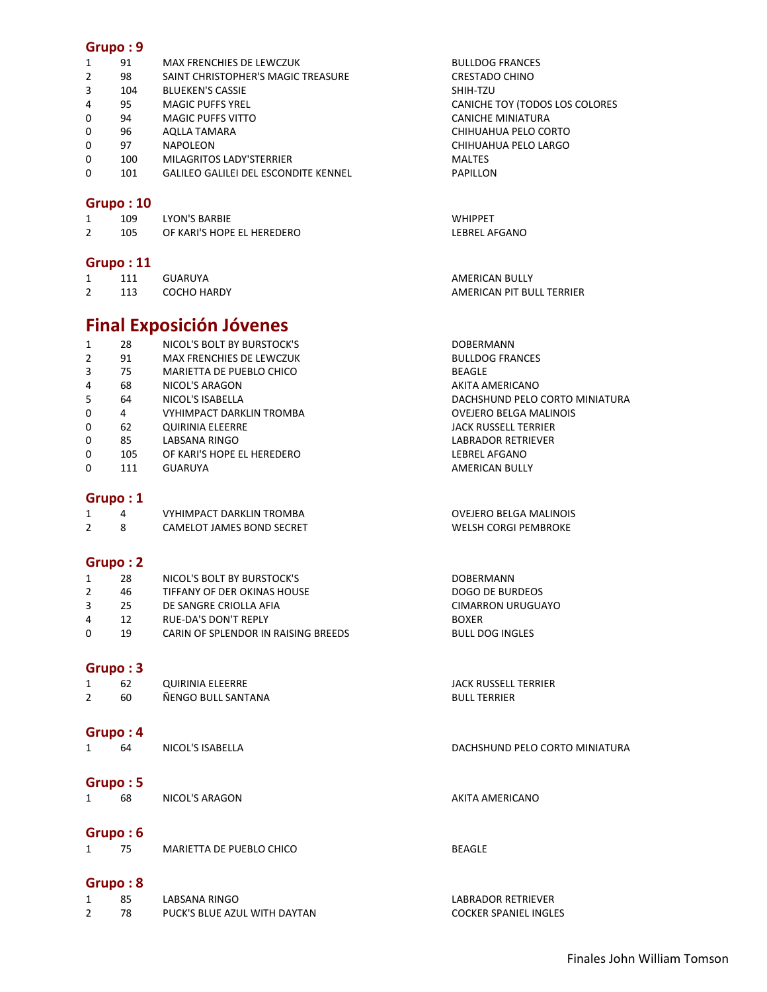| 1              | 91       | MAX FRENCHIES DE LEWCZUK                    | <b>BULLDOG FRANCES</b>         |
|----------------|----------|---------------------------------------------|--------------------------------|
| 2              | 98       | SAINT CHRISTOPHER'S MAGIC TREASURE          | <b>CRESTADO CHINO</b>          |
| 3              | 104      | <b>BLUEKEN'S CASSIE</b>                     | SHIH-TZU                       |
| 4              | 95       | <b>MAGIC PUFFS YREL</b>                     | CANICHE TOY (TODOS LOS COLORES |
| 0              | 94       | <b>MAGIC PUFFS VITTO</b>                    | CANICHE MINIATURA              |
| 0              | 96       | <b>AQLLA TAMARA</b>                         | CHIHUAHUA PELO CORTO           |
| 0              | 97       | NAPOLEON                                    | CHIHUAHUA PELO LARGO           |
| 0              | 100      | MILAGRITOS LADY'STERRIER                    | <b>MALTES</b>                  |
| 0              | 101      | <b>GALILEO GALILEI DEL ESCONDITE KENNEL</b> | PAPILLON                       |
|                | Grupo:10 |                                             |                                |
| $\mathbf{1}$   | 109      | <b>LYON'S BARBIE</b>                        | <b>WHIPPET</b>                 |
| $\overline{2}$ | 105      | OF KARI'S HOPE EL HEREDERO                  | <b>LEBREL AFGANO</b>           |

#### **Grupo : 11**

| . |     |             |                           |
|---|-----|-------------|---------------------------|
|   |     | GUARUYA     | <b>AMERICAN BULLY</b>     |
| ∠ | 113 | COCHO HARDY | AMERICAN PIT BULL TERRIER |

# **Final Exposición Jóvenes**

|                                 | <b>DOBERMANN</b>               |
|---------------------------------|--------------------------------|
| <b>MAX FRENCHIES DE LEWCZUK</b> | <b>BULLDOG FRANCES</b>         |
| MARIETTA DE PUEBLO CHICO        | <b>BEAGLE</b>                  |
| NICOL'S ARAGON                  | AKITA AMERICANO                |
| NICOL'S ISABELLA                | DACHSHUND PELO CORTO MINIATURA |
| VYHIMPACT DARKLIN TROMBA        | OVEJERO BELGA MALINOIS         |
| <b>QUIRINIA ELEERRE</b>         | JACK RUSSELL TERRIER           |
| LABSANA RINGO                   | LABRADOR RETRIEVER             |
| OF KARI'S HOPE EL HEREDERO      | LEBREL AFGANO                  |
| GUARUYA                         | AMERICAN BULLY                 |
|                                 | NICOL'S BOLT BY BURSTOCK'S     |

# **Grupo : 1**

|  | VYHIMPACT DARKLIN TROMBA  | OVEJERO BELGA MALINOIS |
|--|---------------------------|------------------------|
|  | CAMELOT JAMES BOND SECRET | WELSH CORGI PEMBROKE   |

# **Grupo : 2**

|          | 28 | NICOL'S BOLT BY BURSTOCK'S          | <b>DOBERMANN</b>  |
|----------|----|-------------------------------------|-------------------|
|          | 46 | TIFFANY OF DER OKINAS HOUSE         | DOGO DE BURDEOS   |
|          | 25 | DE SANGRE CRIOLLA AFIA              | CIMARRON URUGUAYO |
| 4        | 12 | <b>RUE-DA'S DON'T REPLY</b>         | <b>BOXER</b>      |
| $\Omega$ | 19 | CARIN OF SPLENDOR IN RAISING BREEDS | BULL DOG INGLES   |

#### **Grupo : 3**

| 1<br>2       | 62<br>60 | <b>QUIRINIA ELEERRE</b><br>ÑENGO BULL SANTANA | <b>JACK RUSSELL TERRIER</b><br><b>BULL TERRIER</b> |
|--------------|----------|-----------------------------------------------|----------------------------------------------------|
|              | Grupo: 4 |                                               |                                                    |
| $\mathbf{1}$ | 64       | NICOL'S ISABELLA                              | DACHSHUND PELO CORTO MINIATURA                     |
|              | Grupo: 5 |                                               |                                                    |
| $\mathbf{1}$ | 68       | NICOL'S ARAGON                                | AKITA AMERICANO                                    |
|              | Grupo: 6 |                                               |                                                    |
| $\mathbf{1}$ | 75       | MARIETTA DE PUEBLO CHICO                      | <b>BEAGLE</b>                                      |

# **Grupo : 8**

| 85 | LABSANA RINGO                |  |
|----|------------------------------|--|
|    | PUCK'S BLUE AZUL WITH DAYTAN |  |

LABRADOR RETRIEVER COCKER SPANIEL INGLES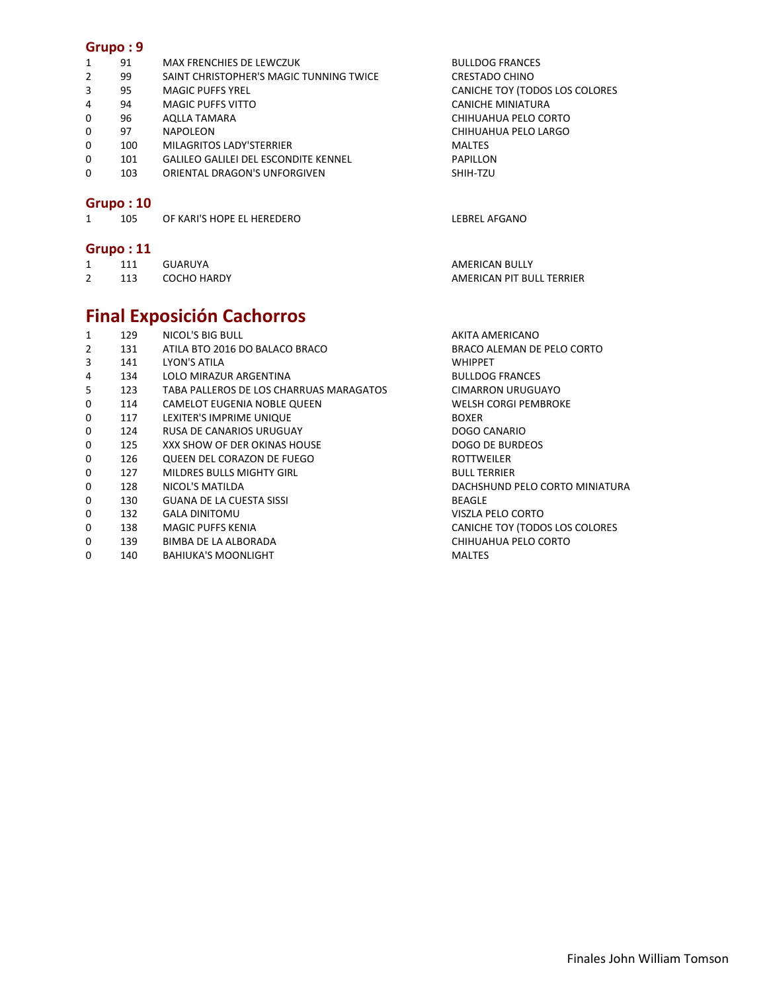|   | Grupo: 11       |                                             |                                |  |  |
|---|-----------------|---------------------------------------------|--------------------------------|--|--|
|   | Grupo:10<br>105 | OF KARI'S HOPE EL HEREDERO                  | LEBREL AFGANO                  |  |  |
| 0 | 103             | ORIENTAL DRAGON'S UNFORGIVEN                | SHIH-TZU                       |  |  |
| 0 | 101             | <b>GALILEO GALILEI DEL ESCONDITE KENNEL</b> | PAPILLON                       |  |  |
| 0 | 100             | MILAGRITOS LADY'STERRIER                    | <b>MALTES</b>                  |  |  |
| 0 | 97              | NAPOLEON                                    | CHIHUAHUA PELO LARGO           |  |  |
| 0 | 96              | AQLLA TAMARA                                | CHIHUAHUA PELO CORTO           |  |  |
| 4 | 94              | <b>MAGIC PUFFS VITTO</b>                    | CANICHE MINIATURA              |  |  |
| 3 | 95              | <b>MAGIC PUFFS YREL</b>                     | CANICHE TOY (TODOS LOS COLORES |  |  |
| 2 | 99              | SAINT CHRISTOPHER'S MAGIC TUNNING TWICE     | CRESTADO CHINO                 |  |  |
|   | 91              | MAX FRENCHIES DE LEWCZUK                    | <b>BULLDOG FRANCES</b>         |  |  |
|   |                 |                                             |                                |  |  |

1 111 GUARUYA **AMERICAN BULLY** 2 113 COCHO HARDY **AMERICAN PIT BULL TERRIER** 

#### **Final Exposición Cachorros**  1 129 NICOL'S BIG BULL 129 NICOL'S BIG BULL 2001 2 131 ATILA BTO 2016 DO BALACO BRACO BRACO ALEMAN DE PELO CORTO 3 141 LYON'S ATILA WHIPPET 4 134 LOLO MIRAZUR ARGENTINA BULLDOG FRANCES 5 123 TABA PALLEROS DE LOS CHARRUAS MARAGATOS CIMARRON URUGUAYO 0 114 CAMELOT EUGENIA NOBLE QUEEN WELSH CORGI PEMBROKE 0 117 LEXITER'S IMPRIME UNIQUE **EXITER'S IMPRIME** 0 124 RUSA DE CANARIOS URUGUAY DOGO CANARIO 0 125 XXX SHOW OF DER OKINAS HOUSE CONSERVING DOGO DE BURDEOS<br>0 126 QUEEN DEL CORAZON DE FUEGO ROTTWEILER 0 126 QUEEN DEL CORAZON DE FUEGO CONTROLLER ROTTWEILER 0 127 MILDRES BULLS MIGHTY GIRL BULL TERRIER

- 
- 0 130 GUANA DE LA CUESTA SISSI BEAGLE
- 0 132 GALA DINITOMU VISZLA PELO CORTO
- 0 138 MAGIC PUFFS KENIA CANICHE TOY (TODOS LOS COLORES
- 0 139 BIMBA DE LA ALBORADA CHIHUAHUA PELO CORTO
- 0 140 BAHIUKA'S MOONLIGHT **MALTES**

0 128 NICOL'S MATILDA DACHSHUND PELO CORTO MINIATURA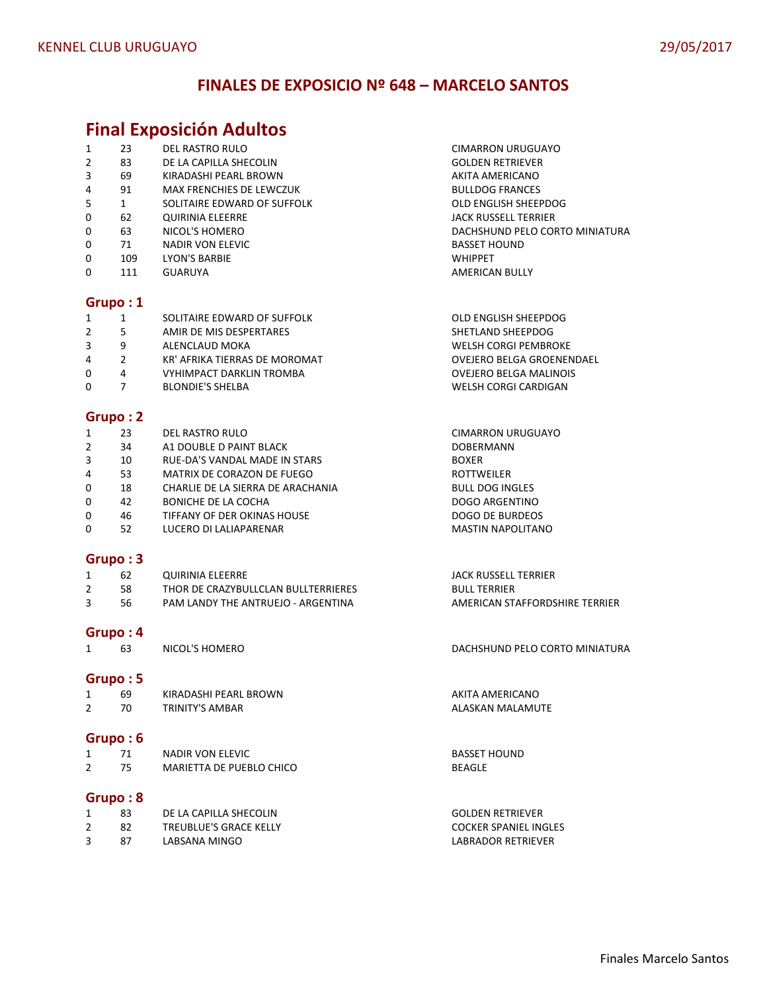# **FINALES DE EXPOSICIO Nº 648 – MARCELO SANTOS**

# **Final Exposición Adultos**

|                |              | $\frac{1}{2}$ $\frac{1}{2}$   |                                  |
|----------------|--------------|-------------------------------|----------------------------------|
| 1              | 23           | DEL RASTRO RULO               | <b>CIMARRON URUGUAYO</b>         |
| $\overline{2}$ | 83           | DE LA CAPILLA SHECOLIN        | <b>GOLDEN RETRIEVER</b>          |
| 3              | 69           | KIRADASHI PEARL BROWN         | AKITA AMERICANO                  |
| 4              | 91           | MAX FRENCHIES DE LEWCZUK      | <b>BULLDOG FRANCES</b>           |
| 5              | $\mathbf{1}$ | SOLITAIRE EDWARD OF SUFFOLK   | OLD ENGLISH SHEEPDOG             |
| 0              | 62           | <b>QUIRINIA ELEERRE</b>       | <b>JACK RUSSELL TERRIER</b>      |
| 0              | 63           | NICOL'S HOMERO                | DACHSHUND PELO CORTO MINIATURA   |
| 0              | 71           | NADIR VON ELEVIC              | <b>BASSET HOUND</b>              |
| 0              | 109          | <b>LYON'S BARBIE</b>          | <b>WHIPPET</b>                   |
| 0              | 111          | <b>GUARUYA</b>                | AMERICAN BULLY                   |
|                |              |                               |                                  |
| Grupo:1        |              |                               |                                  |
| $\mathbf{1}$   | 1            | SOLITAIRE EDWARD OF SUFFOLK   | OLD ENGLISH SHEEPDOG             |
| $\overline{2}$ | 5            | AMIR DE MIS DESPERTARES       | SHETLAND SHEEPDOG                |
| 3              | 9            | ALENCLAUD MOKA                | <b>WELSH CORGI PEMBROKE</b>      |
| 4              | 2            | KR' AFRIKA TIERRAS DE MOROMAT | <b>OVEJERO BELGA GROENENDAEL</b> |
| 0              | 4            | VYHIMPACT DARKLIN TROMBA      | <b>OVEJERO BELGA MALINOIS</b>    |
|                |              |                               |                                  |

0 7 BLONDIE'S SHELBA WELSH CORGI CARDIGAN

#### **Grupo : 2**

| 1            | 23 | DEL RASTRO RULO                   | <b>CIMARRON URUGUAYO</b> |
|--------------|----|-----------------------------------|--------------------------|
| 2            | 34 | A1 DOUBLE D PAINT BLACK           | <b>DOBERMANN</b>         |
| 3            | 10 | RUE-DA'S VANDAL MADE IN STARS     | <b>BOXER</b>             |
| 4            | 53 | MATRIX DE CORAZON DE FUEGO        | <b>ROTTWEILER</b>        |
| $\mathbf{0}$ | 18 | CHARLIE DE LA SIERRA DE ARACHANIA | <b>BULL DOG INGLES</b>   |
| $\mathbf 0$  | 42 | <b>BONICHE DE LA COCHA</b>        | <b>DOGO ARGENTINO</b>    |
| $\mathbf{0}$ | 46 | TIFFANY OF DER OKINAS HOUSE       | DOGO DE BURDEOS          |
| 0            | 52 | LUCERO DI LALIAPARENAR            | <b>MASTIN NAPOLITANO</b> |

# **Grupo : 3**

| 62  | QUIRINIA ELEERRE                    | JACK RUSSELL TERRIER           |
|-----|-------------------------------------|--------------------------------|
| 58  | THOR DE CRAZYBULLCLAN BULLTERRIERES | <b>BULL TERRIER</b>            |
| -56 | PAM LANDY THE ANTRUEJO - ARGENTINA  | AMERICAN STAFFORDSHIRE TERRIER |

Grupo : 4<br>1 63 NICOL'S HOMERO

#### **Grupo : 5**

| 69  | KIRADASHI PEARL BROWN | AKITA AMERICANO  |
|-----|-----------------------|------------------|
| 70. | TRINITY'S AMBAR       | ALASKAN MALAMUTE |
|     |                       |                  |

# **Grupo : 6**

|  | <b>NADIR VON ELEVIC</b>  | <b>BASSET</b> |
|--|--------------------------|---------------|
|  | MARIETTA DE PUEBLO CHICO | <b>BEAGLE</b> |

## **Grupo : 8**

| 83 | DE LA CAPILLA SHECOLIN | <b>GOLDEN RETRIEVER</b> |
|----|------------------------|-------------------------|
|    | TREUBLUE'S GRACE KELLY | COCKER SPANIEL INGLES   |
| 87 | LABSANA MINGO          | LABRADOR RETRIEVER      |

DACHSHUND PELO CORTO MINIATURA

**BASSET HOUND**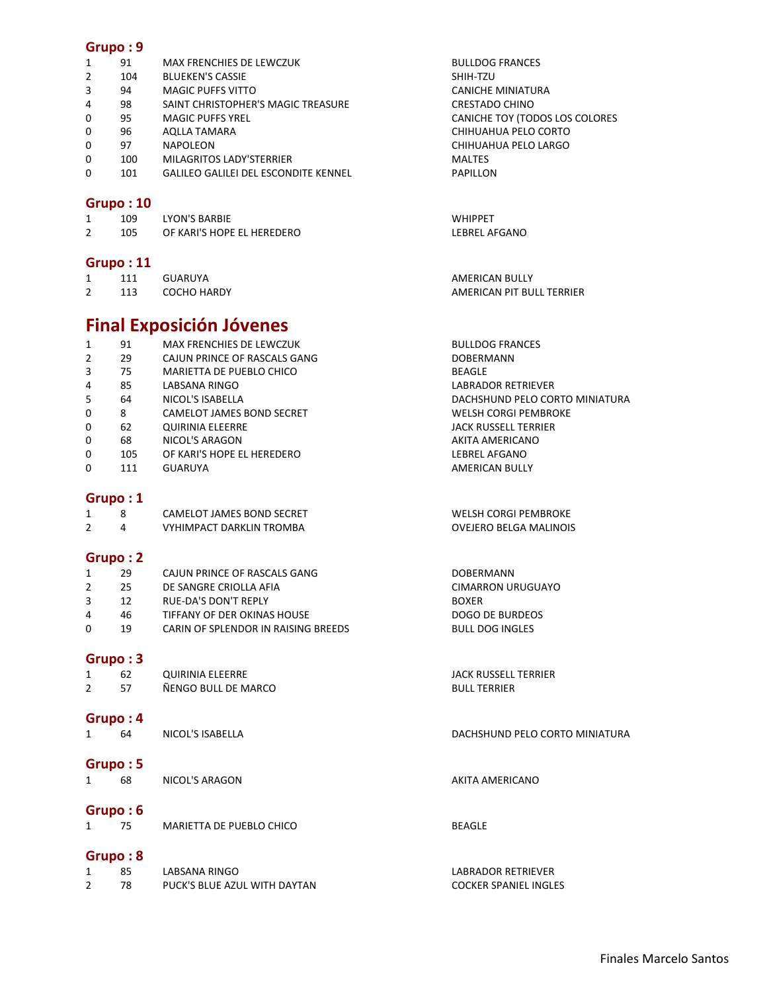| 1              | 91       | MAX FRENCHIES DE LEWCZUK                    | <b>BULLDOG FRANCES</b>         |
|----------------|----------|---------------------------------------------|--------------------------------|
| 2              | 104      | <b>BLUEKEN'S CASSIE</b>                     | SHIH-TZU                       |
| 3              | 94       | MAGIC PUFFS VITTO                           | <b>CANICHE MINIATURA</b>       |
| 4              | 98       | SAINT CHRISTOPHER'S MAGIC TREASURE          | <b>CRESTADO CHINO</b>          |
| 0              | 95       | <b>MAGIC PUFFS YREL</b>                     | CANICHE TOY (TODOS LOS COLORES |
| 0              | 96       | <b>AQLLA TAMARA</b>                         | CHIHUAHUA PELO CORTO           |
| $\Omega$       | 97       | NAPOLEON                                    | CHIHUAHUA PELO LARGO           |
| 0              | 100      | MILAGRITOS LADY'STERRIER                    | <b>MALTES</b>                  |
| $\Omega$       | 101      | <b>GALILEO GALILEI DEL ESCONDITE KENNEL</b> | PAPILLON                       |
|                |          |                                             |                                |
|                | Grupo:10 |                                             |                                |
| 1              | 109      | <b>LYON'S BARBIE</b>                        | <b>WHIPPET</b>                 |
| $\overline{2}$ | 105      | OF KARI'S HOPE EL HEREDERO                  | <b>LEBREL AFGANO</b>           |
|                |          |                                             |                                |

## **Grupo : 11**

|          |     | GUARUYA            | AMERICAN BULLY            |
|----------|-----|--------------------|---------------------------|
| <u>.</u> | 113 | <b>COCHO HARDY</b> | AMERICAN PIT BULL TERRIER |

# **Final Exposición Jóvenes**

| DACHSHUND PELO CORTO MINIATURA |
|--------------------------------|
|                                |
|                                |
|                                |
|                                |
|                                |
|                                |

# **Grupo : 1**

|  | CAMELOT JAMES BOND SECRET | WELSH CORGI PEMBROKE   |
|--|---------------------------|------------------------|
|  | VYHIMPACT DARKLIN TROMBA  | OVEJERO BELGA MALINOIS |

## **Grupo : 2**

|  | CAJUN PRINCE OF RASCALS GANG | <b>DOBERMANN</b>  |
|--|------------------------------|-------------------|
|  | DE SANGRE CRIOLLA AFIA       | CIMARRON URUGUAYO |
|  | RUE-DA'S DON'T REPLY         | <b>BOXER</b>      |

- 4 46 TIFFANY OF DER OKINAS HOUSE COMPUSSES AND SURPOSE DOGO DE BURDEOS
- 0 19 CARIN OF SPLENDOR IN RAISING BREEDS BULL DOG INGLES

## **Grupo : 3**

| 62       | QUIRINIA ELEERRE    | JACK RUSSELL TERRIER |
|----------|---------------------|----------------------|
| 57       | ÑENGO BULL DE MARCO | <b>BULL TERRIER</b>  |
|          |                     |                      |
| Grupo: 4 |                     |                      |
| 64       | NICOL'S ISABELLA    | DACHSHUND PELO COF   |

# DACHSHUND PELO CORTO MINIATURA

NICOL'S ARAGON AKITA AMERICANO

# **Grupo : 6**

**Grupo : 5** 

|  | MARIETTA DE PUEBLO CHICO | <b>BEAGLE</b> |
|--|--------------------------|---------------|

# **Grupo : 8**

| 85 | LABSANA RINGO                | LABRADOR RETRIEVER           |
|----|------------------------------|------------------------------|
|    | PUCK'S BLUE AZUL WITH DAYTAN | <b>COCKER SPANIEL INGLES</b> |